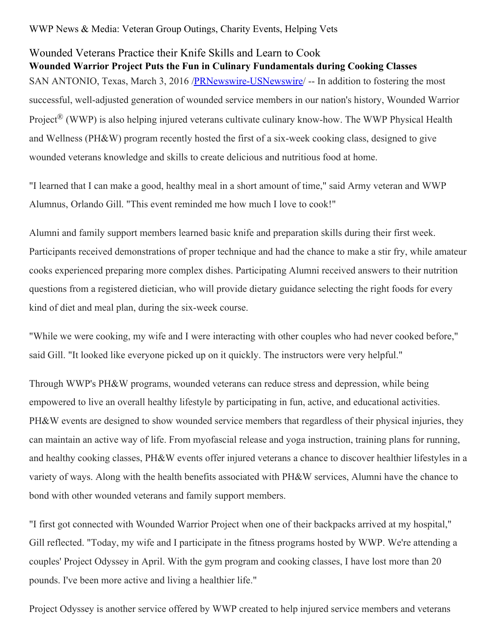WWP News & Media: Veteran Group Outings, Charity Events, Helping Vets

## Wounded Veterans Practice their Knife Skills and Learn to Cook **Wounded Warrior Project Puts the Fun in Culinary Fundamentals during Cooking Classes** SAN ANTONIO, Texas, March 3, 2016 /[PRNewswire-USNewswire](http://www.prnewswire.com/)/ -- In addition to fostering the most successful, well-adjusted generation of wounded service members in our nation's history, Wounded Warrior Project<sup>®</sup> (WWP) is also helping injured veterans cultivate culinary know-how. The WWP Physical Health and Wellness (PH&W) program recently hosted the first of a six-week cooking class, designed to give wounded veterans knowledge and skills to create delicious and nutritious food at home.

"I learned that I can make a good, healthy meal in a short amount of time," said Army veteran and WWP Alumnus, Orlando Gill. "This event reminded me how much I love to cook!"

Alumni and family support members learned basic knife and preparation skills during their first week. Participants received demonstrations of proper technique and had the chance to make a stir fry, while amateur cooks experienced preparing more complex dishes. Participating Alumni received answers to their nutrition questions from a registered dietician, who will provide dietary guidance selecting the right foods for every kind of diet and meal plan, during the six-week course.

"While we were cooking, my wife and I were interacting with other couples who had never cooked before," said Gill. "It looked like everyone picked up on it quickly. The instructors were very helpful."

Through WWP's PH&W programs, wounded veterans can reduce stress and depression, while being empowered to live an overall healthy lifestyle by participating in fun, active, and educational activities. PH&W events are designed to show wounded service members that regardless of their physical injuries, they can maintain an active way of life. From myofascial release and yoga instruction, training plans for running, and healthy cooking classes, PH&W events offer injured veterans a chance to discover healthier lifestyles in a variety of ways. Along with the health benefits associated with PH&W services, Alumni have the chance to bond with other wounded veterans and family support members.

"I first got connected with Wounded Warrior Project when one of their backpacks arrived at my hospital," Gill reflected. "Today, my wife and I participate in the fitness programs hosted by WWP. We're attending a couples' Project Odyssey in April. With the gym program and cooking classes, I have lost more than 20 pounds. I've been more active and living a healthier life."

Project Odyssey is another service offered by WWP created to help injured service members and veterans